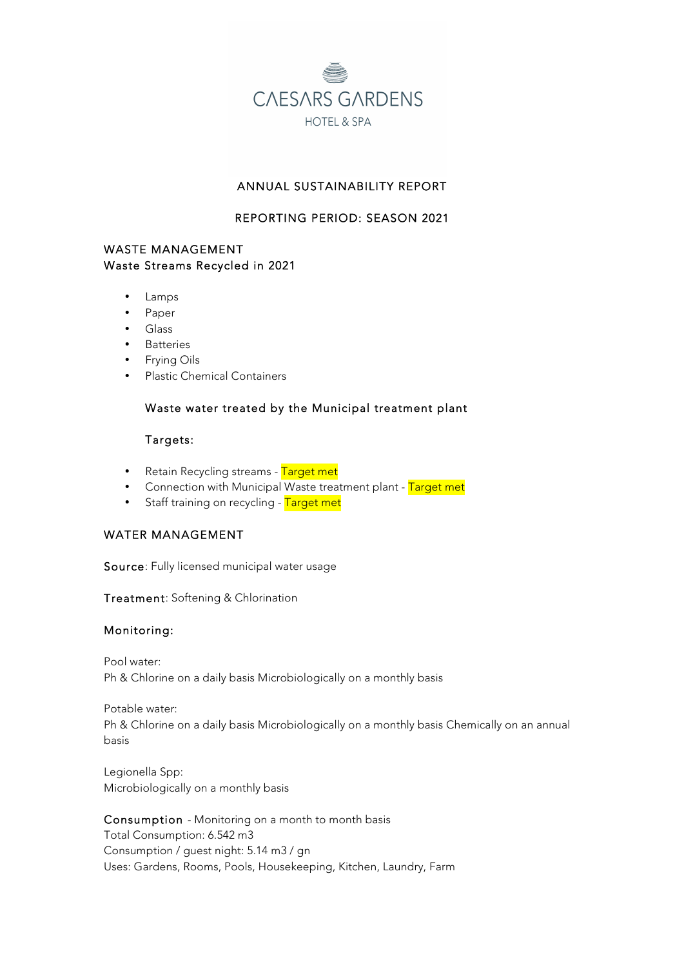

# ANNUAL SUSTAINABILITY REPORT

# REPORTING PERIOD: SEASON 2021

# WASTE MANAGEMENT Waste Streams Recycled in 2021

- Lamps
- Paper
- Glass
- Batteries
- Frying Oils
- Plastic Chemical Containers

### Waste water treated by the Municipal treatment plant

### Targets:

- Retain Recycling streams Target met
- Connection with Municipal Waste treatment plant Target met
- Staff training on recycling Target met

### WATER MANAGEMENT

Source: Fully licensed municipal water usage

Treatment: Softening & Chlorination

### Monitoring:

Pool water: Ph & Chlorine on a daily basis Microbiologically on a monthly basis

Potable water: Ph & Chlorine on a daily basis Microbiologically on a monthly basis Chemically on an annual basis

Legionella Spp: Microbiologically on a monthly basis

Consumption - Monitoring on a month to month basis Total Consumption: 6.542 m3 Consumption / guest night: 5.14 m3 / gn Uses: Gardens, Rooms, Pools, Housekeeping, Kitchen, Laundry, Farm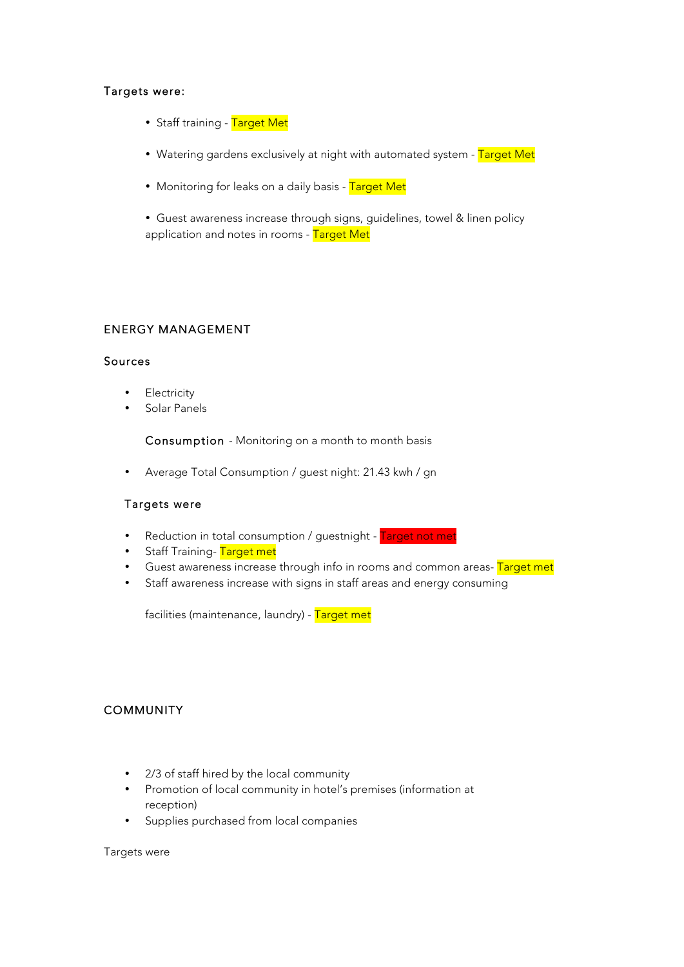### Targets were:

- Staff training Target Met
- Watering gardens exclusively at night with automated system Target Met
- Monitoring for leaks on a daily basis Target Met

• Guest awareness increase through signs, guidelines, towel & linen policy application and notes in rooms - Target Met

# ENERGY MANAGEMENT

### Sources

- **Electricity**
- Solar Panels

Consumption - Monitoring on a month to month basis

• Average Total Consumption / guest night: 21.43 kwh / gn

#### Targets were

- Reduction in total consumption / guestnight Target not met
- Staff Training-Target met
- Guest awareness increase through info in rooms and common areas- Target met
- Staff awareness increase with signs in staff areas and energy consuming

facilities (maintenance, laundry) - Target met

# **COMMUNITY**

- 2/3 of staff hired by the local community
- Promotion of local community in hotel's premises (information at reception)
- Supplies purchased from local companies

Targets were